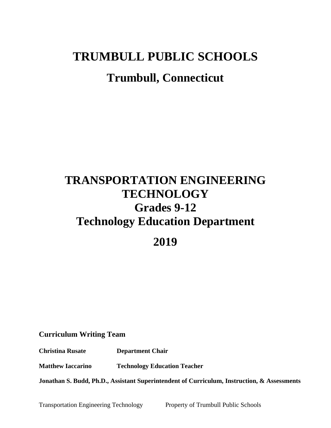# **TRUMBULL PUBLIC SCHOOLS Trumbull, Connecticut**

## **TRANSPORTATION ENGINEERING TECHNOLOGY Grades 9-12 Technology Education Department**

**2019**

**Curriculum Writing Team**

**Christina Rusate Department Chair**

**Matthew Iaccarino Technology Education Teacher**

**Jonathan S. Budd, Ph.D., Assistant Superintendent of Curriculum, Instruction, & Assessments**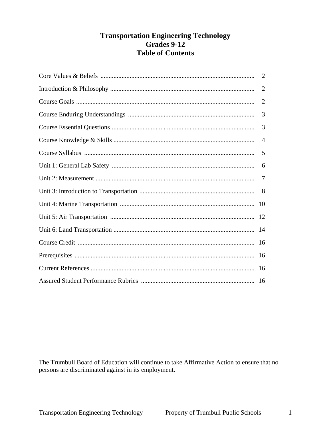## **Transportation Engineering Technology** Grades 9-12 **Table of Contents**

| 2              |
|----------------|
| $\overline{2}$ |
| $\overline{2}$ |
| 3              |
| 3              |
| $\overline{4}$ |
| 5              |
| 6              |
| -7             |
|                |
| -10            |
|                |
|                |
|                |
|                |
|                |
|                |

The Trumbull Board of Education will continue to take Affirmative Action to ensure that no persons are discriminated against in its employment.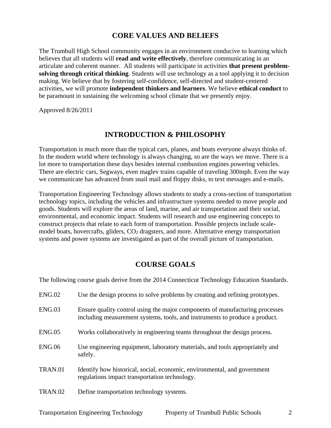#### **CORE VALUES AND BELIEFS**

The Trumbull High School community engages in an environment conducive to learning which believes that all students will **read and write effectively**, therefore communicating in an articulate and coherent manner. All students will participate in activities **that present problemsolving through critical thinking**. Students will use technology as a tool applying it to decision making. We believe that by fostering self-confidence, self-directed and student-centered activities, we will promote **independent thinkers and learners**. We believe **ethical conduct** to be paramount in sustaining the welcoming school climate that we presently enjoy.

Approved 8/26/2011

#### **INTRODUCTION & PHILOSOPHY**

Transportation is much more than the typical cars, planes, and boats everyone always thinks of. In the modern world where technology is always changing, so are the ways we move. There is a lot more to transportation these days besides internal combustion engines powering vehicles. There are electric cars, Segways, even maglev trains capable of traveling 300mph. Even the way we communicate has advanced from snail mail and floppy disks, to text messages and e-mails.

Transportation Engineering Technology allows students to study a cross-section of transportation technology topics, including the vehicles and infrastructure systems needed to move people and goods. Students will explore the areas of land, marine, and air transportation and their social, environmental, and economic impact. Students will research and use engineering concepts to construct projects that relate to each form of transportation. Possible projects include scalemodel boats, hovercrafts, gliders, CO<sup>2</sup> dragsters, and more. Alternative energy transportation systems and power systems are investigated as part of the overall picture of transportation.

#### **COURSE GOALS**

The following course goals derive from the 2014 Connecticut Technology Education Standards.

| ENG.02        | Use the design process to solve problems by creating and refining prototypes.                                                                               |
|---------------|-------------------------------------------------------------------------------------------------------------------------------------------------------------|
| ENG.03        | Ensure quality control using the major components of manufacturing processes<br>including measurement systems, tools, and instruments to produce a product. |
| ENG.05        | Works collaboratively in engineering teams throughout the design process.                                                                                   |
| <b>ENG.06</b> | Use engineering equipment, laboratory materials, and tools appropriately and<br>safely.                                                                     |
| TRAN.01       | Identify how historical, social, economic, environmental, and government<br>regulations impact transportation technology.                                   |
| TRAN.02       | Define transportation technology systems.                                                                                                                   |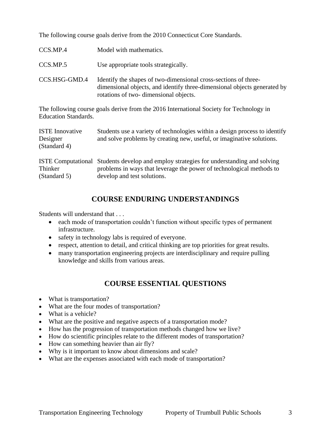The following course goals derive from the 2010 Connecticut Core Standards.

| CCS.MP.4      | Model with mathematics.                                                                                                                                                              |
|---------------|--------------------------------------------------------------------------------------------------------------------------------------------------------------------------------------|
| CCS.MP.5      | Use appropriate tools strategically.                                                                                                                                                 |
| CCS.HSG-GMD.4 | Identify the shapes of two-dimensional cross-sections of three-<br>dimensional objects, and identify three-dimensional objects generated by<br>rotations of two-dimensional objects. |

The following course goals derive from the 2016 International Society for Technology in Education Standards.

| <b>ISTE</b> Innovative<br>Designer<br>(Standard 4) | Students use a variety of technologies within a design process to identify<br>and solve problems by creating new, useful, or imaginative solutions.                                            |
|----------------------------------------------------|------------------------------------------------------------------------------------------------------------------------------------------------------------------------------------------------|
| Thinker<br>(Standard 5)                            | ISTE Computational Students develop and employ strategies for understanding and solving<br>problems in ways that leverage the power of technological methods to<br>develop and test solutions. |

## **COURSE ENDURING UNDERSTANDINGS**

Students will understand that . . .

- each mode of transportation couldn't function without specific types of permanent infrastructure.
- safety in technology labs is required of everyone.
- respect, attention to detail, and critical thinking are top priorities for great results.
- many transportation engineering projects are interdisciplinary and require pulling knowledge and skills from various areas.

## **COURSE ESSENTIAL QUESTIONS**

- What is transportation?
- What are the four modes of transportation?
- What is a vehicle?
- What are the positive and negative aspects of a transportation mode?
- How has the progression of transportation methods changed how we live?
- How do scientific principles relate to the different modes of transportation?
- How can something heavier than air fly?
- Why is it important to know about dimensions and scale?
- What are the expenses associated with each mode of transportation?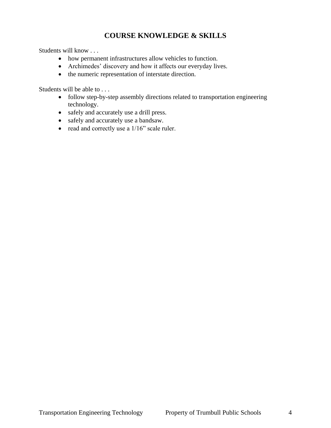## **COURSE KNOWLEDGE & SKILLS**

Students will know . . .

- how permanent infrastructures allow vehicles to function.
- Archimedes' discovery and how it affects our everyday lives.
- the numeric representation of interstate direction.

Students will be able to . . .

- follow step-by-step assembly directions related to transportation engineering technology.
- safely and accurately use a drill press.
- safely and accurately use a bandsaw.
- $\bullet$  read and correctly use a 1/16" scale ruler.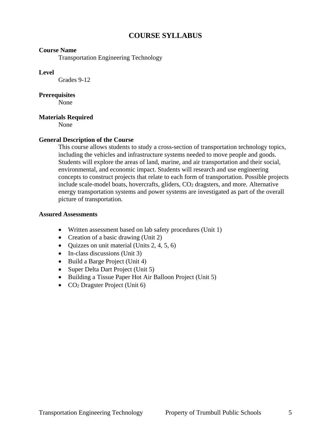## **COURSE SYLLABUS**

#### **Course Name**

Transportation Engineering Technology

#### **Level**

Grades 9-12

#### **Prerequisites**

None

#### **Materials Required**

None

#### **General Description of the Course**

This course allows students to study a cross-section of transportation technology topics, including the vehicles and infrastructure systems needed to move people and goods. Students will explore the areas of land, marine, and air transportation and their social, environmental, and economic impact. Students will research and use engineering concepts to construct projects that relate to each form of transportation. Possible projects include scale-model boats, hovercrafts, gliders,  $CO<sub>2</sub>$  dragsters, and more. Alternative energy transportation systems and power systems are investigated as part of the overall picture of transportation.

#### **Assured Assessments**

- Written assessment based on lab safety procedures (Unit 1)
- Creation of a basic drawing (Unit 2)
- $\bullet$  Quizzes on unit material (Units 2, 4, 5, 6)
- In-class discussions (Unit 3)
- Build a Barge Project (Unit 4)
- Super Delta Dart Project (Unit 5)
- Building a Tissue Paper Hot Air Balloon Project (Unit 5)
- CO<sub>2</sub> Dragster Project (Unit 6)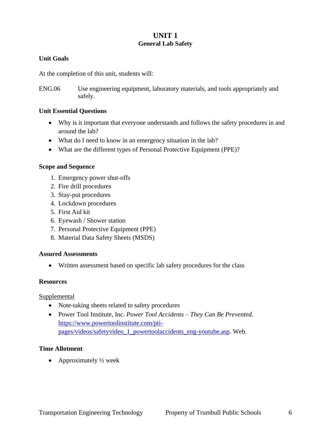#### **UNIT 1 General Lab Safety**

#### **Unit Goals**

At the completion of this unit, students will:

ENG.06 Use engineering equipment, laboratory materials, and tools appropriately and safely.

#### **Unit Essential Questions**

- Why is it important that everyone understands and follows the safety procedures in and around the lab?
- What do I need to know in an emergency situation in the lab?
- What are the different types of Personal Protective Equipment (PPE)?

#### **Scope and Sequence**

- 1. Emergency power shut-offs
- 2. Fire drill procedures
- 3. Stay-put procedures
- 4. Lockdown procedures
- 5. First Aid kit
- 6. Eyewash / Shower station
- 7. Personal Protective Equipment (PPE)
- 8. Material Data Safety Sheets (MSDS)

#### **Assured Assessments**

Written assessment based on specific lab safety procedures for the class

#### **Resources**

#### **Supplemental**

- Note-taking sheets related to safety procedures
- Power Tool Institute, Inc. *Power Tool Accidents – They Can Be Prevented*. [https://www.powertoolinstitute.com/pti](https://www.powertoolinstitute.com/pti-pages/videos/safetyvideo_1_powertoolaccidents_eng-youtube.asp)[pages/videos/safetyvideo\\_1\\_powertoolaccidents\\_eng-youtube.asp.](https://www.powertoolinstitute.com/pti-pages/videos/safetyvideo_1_powertoolaccidents_eng-youtube.asp) Web.

#### **Time Allotment**

• Approximately  $\frac{1}{2}$  week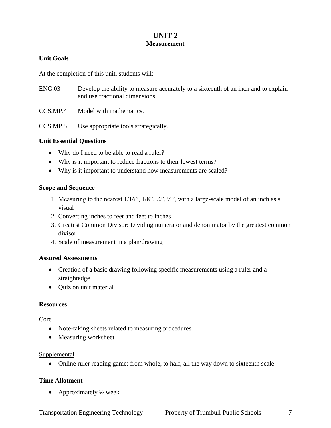#### **UNIT 2 Measurement**

#### **Unit Goals**

At the completion of this unit, students will:

- ENG.03 Develop the ability to measure accurately to a sixteenth of an inch and to explain and use fractional dimensions.
- CCS.MP.4 Model with mathematics.

CCS.MP.5 Use appropriate tools strategically.

#### **Unit Essential Questions**

- Why do I need to be able to read a ruler?
- Why is it important to reduce fractions to their lowest terms?
- Why is it important to understand how measurements are scaled?

#### **Scope and Sequence**

- 1. Measuring to the nearest 1/16", 1/8", ¼", ½", with a large-scale model of an inch as a visual
- 2. Converting inches to feet and feet to inches
- 3. Greatest Common Divisor: Dividing numerator and denominator by the greatest common divisor
- 4. Scale of measurement in a plan/drawing

#### **Assured Assessments**

- Creation of a basic drawing following specific measurements using a ruler and a straightedge
- Quiz on unit material

#### **Resources**

#### Core

- Note-taking sheets related to measuring procedures
- Measuring worksheet

#### Supplemental

Online ruler reading game: from whole, to half, all the way down to sixteenth scale

#### **Time Allotment**

• Approximately  $\frac{1}{2}$  week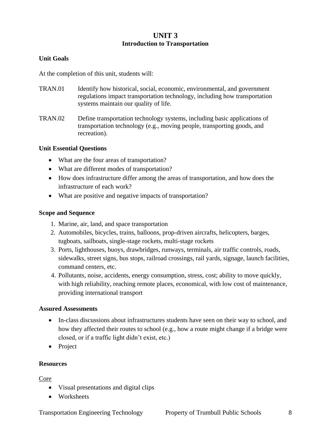#### **UNIT 3 Introduction to Transportation**

#### **Unit Goals**

At the completion of this unit, students will:

- TRAN.01 Identify how historical, social, economic, environmental, and government regulations impact transportation technology, including how transportation systems maintain our quality of life.
- TRAN.02 Define transportation technology systems, including basic applications of transportation technology (e.g., moving people, transporting goods, and recreation).

#### **Unit Essential Questions**

- What are the four areas of transportation?
- What are different modes of transportation?
- How does infrastructure differ among the areas of transportation, and how does the infrastructure of each work?
- What are positive and negative impacts of transportation?

#### **Scope and Sequence**

- 1. Marine, air, land, and space transportation
- 2. Automobiles, bicycles, trains, balloons, prop-driven aircrafts, helicopters, barges, tugboats, sailboats, single-stage rockets, multi-stage rockets
- 3. Ports, lighthouses, buoys, drawbridges, runways, terminals, air traffic controls, roads, sidewalks, street signs, bus stops, railroad crossings, rail yards, signage, launch facilities, command centers, etc.
- 4. Pollutants, noise, accidents, energy consumption, stress, cost; ability to move quickly, with high reliability, reaching remote places, economical, with low cost of maintenance, providing international transport

#### **Assured Assessments**

- In-class discussions about infrastructures students have seen on their way to school, and how they affected their routes to school (e.g., how a route might change if a bridge were closed, or if a traffic light didn't exist, etc.)
- Project

#### **Resources**

Core

- Visual presentations and digital clips
- Worksheets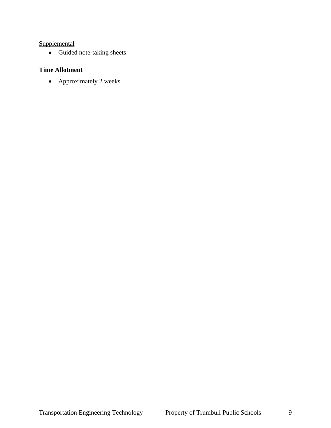#### **Supplemental**

• Guided note-taking sheets

#### **Time Allotment**

• Approximately 2 weeks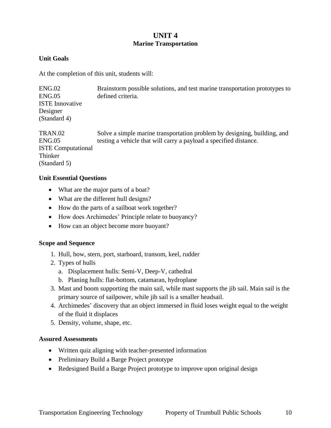#### **UNIT 4 Marine Transportation**

#### **Unit Goals**

At the completion of this unit, students will:

| ENG.02<br>ENG.05<br><b>ISTE</b> Innovative<br>Designer<br>(Standard 4) | Brainstorm possible solutions, and test marine transportation prototypes to<br>defined criteria. |
|------------------------------------------------------------------------|--------------------------------------------------------------------------------------------------|
| TRAN.02                                                                | Solve a simple marine transportation problem by designing, building, and                         |
| ENG.05                                                                 | testing a vehicle that will carry a payload a specified distance.                                |

ISTE Computational Thinker (Standard 5)

#### **Unit Essential Questions**

- What are the major parts of a boat?
- What are the different hull designs?
- How do the parts of a sailboat work together?
- How does Archimedes' Principle relate to buoyancy?
- How can an object become more buoyant?

#### **Scope and Sequence**

- 1. Hull, bow, stern, port, starboard, transom, keel, rudder
- 2. Types of hulls
	- a. Displacement hulls: Semi-V, Deep-V, cathedral
	- b. Planing hulls: flat-bottom, catamaran, hydroplane
- 3. Mast and boom supporting the main sail, while mast supports the jib sail. Main sail is the primary source of sailpower, while jib sail is a smaller headsail.
- 4. Archimedes' discovery that an object immersed in fluid loses weight equal to the weight of the fluid it displaces
- 5. Density, volume, shape, etc.

#### **Assured Assessments**

- Written quiz aligning with teacher-presented information
- Preliminary Build a Barge Project prototype
- Redesigned Build a Barge Project prototype to improve upon original design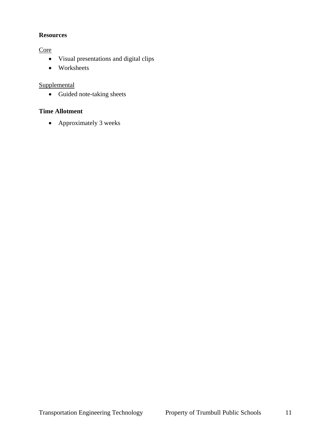#### **Resources**

**Core** 

- Visual presentations and digital clips
- Worksheets

#### **Supplemental**

• Guided note-taking sheets

## **Time Allotment**

Approximately 3 weeks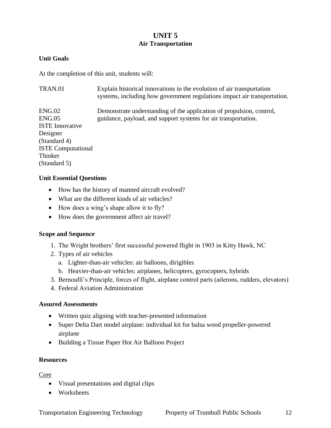#### **UNIT 5 Air Transportation**

#### **Unit Goals**

At the completion of this unit, students will:

| Explain historical innovations in the evolution of air transportation<br>systems, including how government regulations impact air transportation. |
|---------------------------------------------------------------------------------------------------------------------------------------------------|
| Demonstrate understanding of the application of propulsion, control,                                                                              |
| guidance, payload, and support systems for air transportation.                                                                                    |
|                                                                                                                                                   |
|                                                                                                                                                   |
|                                                                                                                                                   |
|                                                                                                                                                   |
|                                                                                                                                                   |
|                                                                                                                                                   |
|                                                                                                                                                   |

#### **Unit Essential Questions**

- How has the history of manned aircraft evolved?
- What are the different kinds of air vehicles?
- How does a wing's shape allow it to fly?
- How does the government affect air travel?

#### **Scope and Sequence**

- 1. The Wright brothers' first successful powered flight in 1903 in Kitty Hawk, NC
- 2. Types of air vehicles
	- a. Lighter-than-air vehicles: air balloons, dirigibles
	- b. Heavier-than-air vehicles: airplanes, helicopters, gyrocopters, hybrids
- 3. Bernoulli's Principle, forces of flight, airplane control parts (ailerons, rudders, elevators)
- 4. Federal Aviation Administration

#### **Assured Assessments**

- Written quiz aligning with teacher-presented information
- Super Delta Dart model airplane: individual kit for balsa wood propeller-powered airplane
- Building a Tissue Paper Hot Air Balloon Project

#### **Resources**

Core

- Visual presentations and digital clips
- Worksheets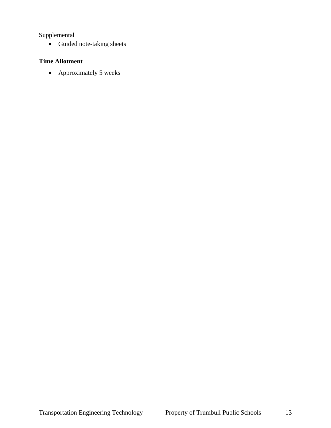#### **Supplemental**

Guided note-taking sheets

#### **Time Allotment**

• Approximately 5 weeks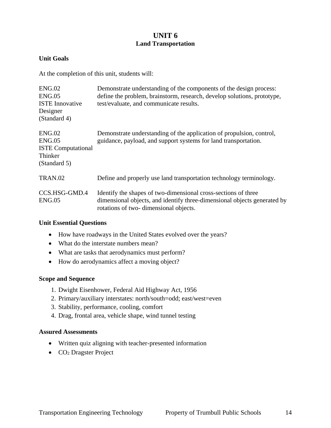#### **UNIT 6 Land Transportation**

#### **Unit Goals**

At the completion of this unit, students will:

| ENG.02<br>ENG.05<br><b>ISTE</b> Innovative<br>Designer<br>(Standard 4)   | Demonstrate understanding of the components of the design process:<br>define the problem, brainstorm, research, develop solutions, prototype,<br>test/evaluate, and communicate results. |
|--------------------------------------------------------------------------|------------------------------------------------------------------------------------------------------------------------------------------------------------------------------------------|
| ENG.02<br>ENG.05<br><b>ISTE Computational</b><br>Thinker<br>(Standard 5) | Demonstrate understanding of the application of propulsion, control,<br>guidance, payload, and support systems for land transportation.                                                  |
| TRAN.02                                                                  | Define and properly use land transportation technology terminology.                                                                                                                      |
| CCS.HSG-GMD.4<br>ENG.05                                                  | Identify the shapes of two-dimensional cross-sections of three<br>dimensional objects, and identify three-dimensional objects generated by<br>rotations of two-dimensional objects.      |

#### **Unit Essential Questions**

- How have roadways in the United States evolved over the years?
- What do the interstate numbers mean?
- What are tasks that aerodynamics must perform?
- How do aerodynamics affect a moving object?

#### **Scope and Sequence**

- 1. Dwight Eisenhower, Federal Aid Highway Act, 1956
- 2. Primary/auxiliary interstates: north/south=odd; east/west=even
- 3. Stability, performance, cooling, comfort
- 4. Drag, frontal area, vehicle shape, wind tunnel testing

#### **Assured Assessments**

- Written quiz aligning with teacher-presented information
- CO<sub>2</sub> Dragster Project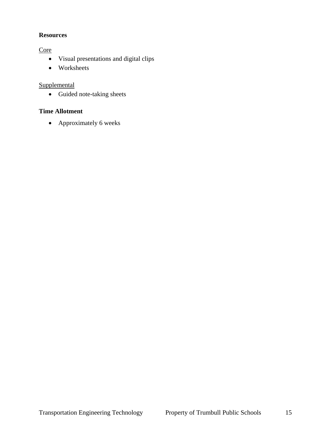#### **Resources**

**Core** 

- Visual presentations and digital clips
- Worksheets

#### **Supplemental**

• Guided note-taking sheets

## **Time Allotment**

Approximately 6 weeks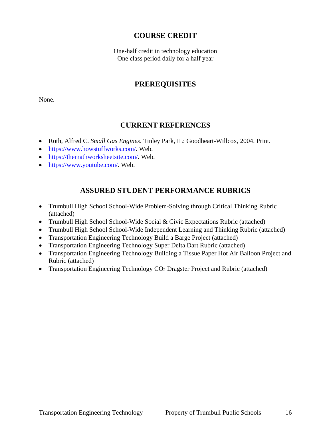## **COURSE CREDIT**

One-half credit in technology education One class period daily for a half year

#### **PREREQUISITES**

None.

#### **CURRENT REFERENCES**

- Roth, Alfred C. *Small Gas Engines*. Tinley Park, IL: Goodheart-Willcox, 2004. Print.
- [https://www.howstuffworks.com/.](https://www.howstuffworks.com/) Web.
- [https://themathworksheetsite.com/.](https://themathworksheetsite.com/) Web.
- [https://www.youtube.com/.](https://www.youtube.com/) Web.

#### **ASSURED STUDENT PERFORMANCE RUBRICS**

- Trumbull High School School-Wide Problem-Solving through Critical Thinking Rubric (attached)
- Trumbull High School School-Wide Social & Civic Expectations Rubric (attached)
- Trumbull High School School-Wide Independent Learning and Thinking Rubric (attached)
- Transportation Engineering Technology Build a Barge Project (attached)
- Transportation Engineering Technology Super Delta Dart Rubric (attached)
- Transportation Engineering Technology Building a Tissue Paper Hot Air Balloon Project and Rubric (attached)
- Transportation Engineering Technology CO<sub>2</sub> Dragster Project and Rubric (attached)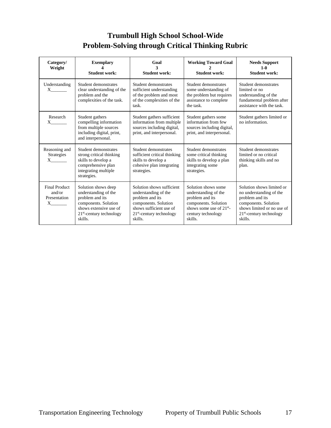## **Trumbull High School School-Wide Problem-Solving through Critical Thinking Rubric**

| Category/<br>Weight                                 | <b>Exemplary</b><br><b>Student work:</b>                                                                                                                  | Goal<br><b>Student work:</b>                                                                                                                                     | <b>Working Toward Goal</b><br><b>Student work:</b>                                                                                                     | <b>Needs Support</b><br>$1 - 0$<br><b>Student work:</b>                                                                                                                |
|-----------------------------------------------------|-----------------------------------------------------------------------------------------------------------------------------------------------------------|------------------------------------------------------------------------------------------------------------------------------------------------------------------|--------------------------------------------------------------------------------------------------------------------------------------------------------|------------------------------------------------------------------------------------------------------------------------------------------------------------------------|
| Understanding<br>$X \sim$                           | Student demonstrates<br>clear understanding of the<br>problem and the<br>complexities of the task.                                                        | Student demonstrates<br>sufficient understanding<br>of the problem and most<br>of the complexities of the<br>task.                                               | Student demonstrates<br>some understanding of<br>the problem but requires<br>assistance to complete<br>the task.                                       | Student demonstrates<br>limited or no<br>understanding of the<br>fundamental problem after<br>assistance with the task.                                                |
| Research<br>$X \sim$                                | Student gathers<br>compelling information<br>from multiple sources<br>including digital, print,<br>and interpersonal.                                     | Student gathers sufficient<br>information from multiple<br>sources including digital,<br>print, and interpersonal.                                               | Student gathers some<br>information from few<br>sources including digital,<br>print, and interpersonal.                                                | Student gathers limited or<br>no information.                                                                                                                          |
| Reasoning and<br><b>Strategies</b><br>$X \sim$      | Student demonstrates<br>strong critical thinking<br>skills to develop a<br>comprehensive plan<br>integrating multiple<br>strategies.                      | Student demonstrates<br>sufficient critical thinking<br>skills to develop a<br>cohesive plan integrating<br>strategies.                                          | Student demonstrates<br>some critical thinking<br>skills to develop a plan<br>integrating some<br>strategies.                                          | Student demonstrates<br>limited or no critical<br>thinking skills and no<br>plan.                                                                                      |
| Final Product<br>and/or<br>Presentation<br>$X \sim$ | Solution shows deep<br>understanding of the<br>problem and its<br>components. Solution<br>shows extensive use of<br>$21st$ -century technology<br>skills. | Solution shows sufficient<br>understanding of the<br>problem and its<br>components. Solution<br>shows sufficient use of<br>$21st$ -century technology<br>skills. | Solution shows some<br>understanding of the<br>problem and its<br>components. Solution<br>shows some use of $21^{st}$<br>century technology<br>skills. | Solution shows limited or<br>no understanding of the<br>problem and its<br>components. Solution<br>shows limited or no use of<br>$21st$ -century technology<br>skills. |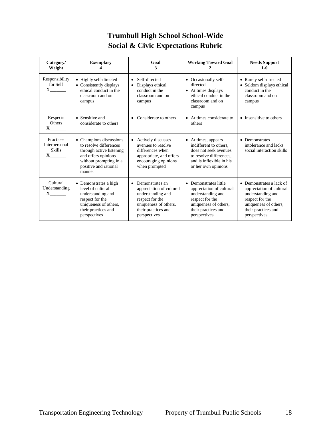## **Trumbull High School School-Wide Social & Civic Expectations Rubric**

| Category/<br>Weight                                     | <b>Exemplary</b>                                                                                                                                                  | Goal<br>3                                                                                                                                                        | <b>Working Toward Goal</b>                                                                                                                                           | <b>Needs Support</b><br>$1-0$                                                                                                                                |
|---------------------------------------------------------|-------------------------------------------------------------------------------------------------------------------------------------------------------------------|------------------------------------------------------------------------------------------------------------------------------------------------------------------|----------------------------------------------------------------------------------------------------------------------------------------------------------------------|--------------------------------------------------------------------------------------------------------------------------------------------------------------|
| Responsibility<br>for Self<br>$X \sim$                  | • Highly self-directed<br>• Consistently displays<br>ethical conduct in the<br>classroom and on<br>campus                                                         | Self-directed<br>$\bullet$<br>Displays ethical<br>conduct in the<br>classroom and on<br>campus                                                                   | • Occasionally self-<br>directed<br>• At times displays<br>ethical conduct in the<br>classroom and on<br>campus                                                      | • Rarely self-directed<br>Seldom displays ethical<br>conduct in the<br>classroom and on<br>campus                                                            |
| Respects<br><b>Others</b><br>$X \sim$                   | • Sensitive and<br>considerate to others                                                                                                                          | Considerate to others<br>$\bullet$                                                                                                                               | At times considerate to<br>others                                                                                                                                    | • Insensitive to others                                                                                                                                      |
| Practices<br>Interpersonal<br><b>Skills</b><br>$X \sim$ | • Champions discussions<br>to resolve differences<br>through active listening<br>and offers opinions<br>without prompting in a<br>positive and rational<br>manner | Actively discusses<br>$\bullet$<br>avenues to resolve<br>differences when<br>appropriate, and offers<br>encouraging opinions<br>when prompted                    | At times, appears<br>$\bullet$<br>indifferent to others.<br>does not seek avenues<br>to resolve differences.<br>and is inflexible in his<br>or her own opinions      | Demonstrates<br>$\bullet$<br>intolerance and lacks<br>social interaction skills                                                                              |
| Cultural<br>Understanding<br>$X \sim$                   | • Demonstrates a high<br>level of cultural<br>understanding and<br>respect for the<br>uniqueness of others,<br>their practices and<br>perspectives                | Demonstrates an<br>$\bullet$<br>appreciation of cultural<br>understanding and<br>respect for the<br>uniqueness of others,<br>their practices and<br>perspectives | Demonstrates little<br>$\bullet$<br>appreciation of cultural<br>understanding and<br>respect for the<br>uniqueness of others,<br>their practices and<br>perspectives | • Demonstrates a lack of<br>appreciation of cultural<br>understanding and<br>respect for the<br>uniqueness of others,<br>their practices and<br>perspectives |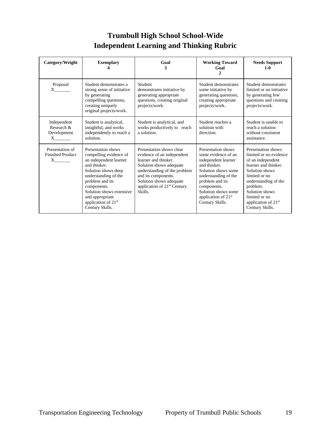## **Trumbull High School School-Wide Independent Learning and Thinking Rubric**

| Category/Weight                                              | <b>Exemplary</b>                                                                                                                                                                                                                                                             | Goal<br>3                                                                                                                                                                                                                                         | <b>Working Toward</b><br>Goal<br>$\mathcal{L}$                                                                                                                                                                                                 | <b>Needs Support</b><br>$1 - 0$                                                                                                                                                                                                                           |
|--------------------------------------------------------------|------------------------------------------------------------------------------------------------------------------------------------------------------------------------------------------------------------------------------------------------------------------------------|---------------------------------------------------------------------------------------------------------------------------------------------------------------------------------------------------------------------------------------------------|------------------------------------------------------------------------------------------------------------------------------------------------------------------------------------------------------------------------------------------------|-----------------------------------------------------------------------------------------------------------------------------------------------------------------------------------------------------------------------------------------------------------|
| Proposal<br>$X \qquad \qquad$                                | Student demonstrates a<br>strong sense of initiative<br>by generating<br>compelling questions,<br>creating uniquely<br>original projects/work.                                                                                                                               | Student<br>demonstrates initiative by<br>generating appropriate<br>questions, creating original<br>projects/work.                                                                                                                                 | Student demonstrates<br>some initiative by<br>generating questions,<br>creating appropriate<br>projects/work.                                                                                                                                  | Student demonstrates<br>limited or no initiative<br>by generating few<br>questions and creating<br>projects/work.                                                                                                                                         |
| Independent<br>Research &<br>Development<br>$X$ <sub>1</sub> | Student is analytical,<br>insightful, and works<br>independently to reach a<br>solution.                                                                                                                                                                                     | Student is analytical, and<br>works productively to reach<br>a solution.                                                                                                                                                                          | Student reaches a<br>solution with<br>direction.                                                                                                                                                                                               | Student is unable to<br>reach a solution<br>without consistent<br>assistance.                                                                                                                                                                             |
| Presentation of<br><b>Finished Product</b><br>$X \sim$       | Presentation shows<br>compelling evidence of<br>an independent learner<br>and thinker.<br>Solution shows deep<br>understanding of the<br>problem and its<br>components.<br>Solution shows extensive<br>and appropriate<br>application of 21 <sup>st</sup><br>Century Skills. | Presentation shows clear<br>evidence of an independent<br>learner and thinker.<br>Solution shows adequate<br>understanding of the problem<br>and its components.<br>Solution shows adequate<br>application of 21 <sup>st</sup> Century<br>Skills. | Presentation shows<br>some evidence of an<br>independent learner<br>and thinker.<br>Solution shows some<br>understanding of the<br>problem and its<br>components.<br>Solution shows some<br>application of 21 <sup>st</sup><br>Century Skills. | Presentation shows<br>limited or no evidence<br>of an independent<br>learner and thinker.<br>Solution shows<br>limited or no<br>understanding of the<br>problem.<br>Solution shows<br>limited or no<br>application of 21 <sup>st</sup><br>Century Skills. |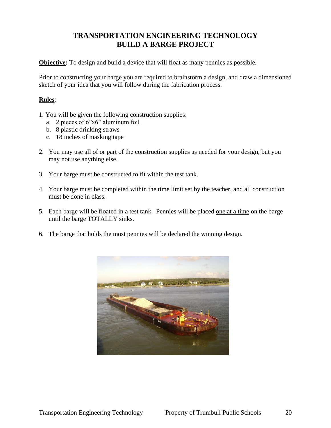## **TRANSPORTATION ENGINEERING TECHNOLOGY BUILD A BARGE PROJECT**

**Objective:** To design and build a device that will float as many pennies as possible.

Prior to constructing your barge you are required to brainstorm a design, and draw a dimensioned sketch of your idea that you will follow during the fabrication process.

#### **Rules**:

- 1. You will be given the following construction supplies:
	- a. 2 pieces of 6"x6" aluminum foil
	- b. 8 plastic drinking straws
	- c. 18 inches of masking tape
- 2. You may use all of or part of the construction supplies as needed for your design, but you may not use anything else.
- 3. Your barge must be constructed to fit within the test tank.
- 4. Your barge must be completed within the time limit set by the teacher, and all construction must be done in class.
- 5. Each barge will be floated in a test tank. Pennies will be placed one at a time on the barge until the barge TOTALLY sinks.
- 6. The barge that holds the most pennies will be declared the winning design.

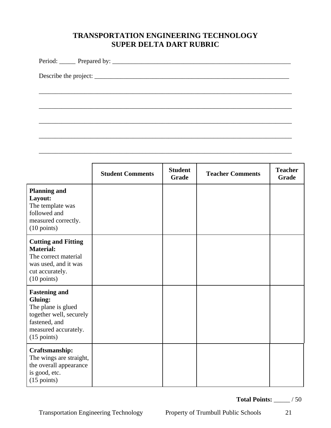## **TRANSPORTATION ENGINEERING TECHNOLOGY SUPER DELTA DART RUBRIC**

\_\_\_\_\_\_\_\_\_\_\_\_\_\_\_\_\_\_\_\_\_\_\_\_\_\_\_\_\_\_\_\_\_\_\_\_\_\_\_\_\_\_\_\_\_\_\_\_\_\_\_\_\_\_\_\_\_\_\_\_\_\_\_\_\_\_\_\_\_\_\_\_\_\_\_\_\_\_

\_\_\_\_\_\_\_\_\_\_\_\_\_\_\_\_\_\_\_\_\_\_\_\_\_\_\_\_\_\_\_\_\_\_\_\_\_\_\_\_\_\_\_\_\_\_\_\_\_\_\_\_\_\_\_\_\_\_\_\_\_\_\_\_\_\_\_\_\_\_\_\_\_\_\_\_\_\_

\_\_\_\_\_\_\_\_\_\_\_\_\_\_\_\_\_\_\_\_\_\_\_\_\_\_\_\_\_\_\_\_\_\_\_\_\_\_\_\_\_\_\_\_\_\_\_\_\_\_\_\_\_\_\_\_\_\_\_\_\_\_\_\_\_\_\_\_\_\_\_\_\_\_\_\_\_\_

\_\_\_\_\_\_\_\_\_\_\_\_\_\_\_\_\_\_\_\_\_\_\_\_\_\_\_\_\_\_\_\_\_\_\_\_\_\_\_\_\_\_\_\_\_\_\_\_\_\_\_\_\_\_\_\_\_\_\_\_\_\_\_\_\_\_\_\_\_\_\_\_\_\_\_\_\_\_

\_\_\_\_\_\_\_\_\_\_\_\_\_\_\_\_\_\_\_\_\_\_\_\_\_\_\_\_\_\_\_\_\_\_\_\_\_\_\_\_\_\_\_\_\_\_\_\_\_\_\_\_\_\_\_\_\_\_\_\_\_\_\_\_\_\_\_\_\_\_\_\_\_\_\_\_\_\_

Period: \_\_\_\_\_ Prepared by: \_\_\_\_\_\_\_\_\_\_\_\_\_\_\_\_\_\_\_\_\_\_\_\_\_\_\_\_\_\_\_\_\_\_\_\_\_\_\_\_\_\_\_\_\_\_\_\_\_\_\_\_\_\_\_

Describe the project: \_\_\_\_\_\_\_\_\_\_\_\_\_\_\_\_\_\_\_\_\_\_\_\_\_\_\_\_\_\_\_\_\_\_\_\_\_\_\_\_\_\_\_\_\_\_\_\_\_\_\_\_\_\_\_\_\_\_\_\_

|                                                                                                                                                    | <b>Student Comments</b> | <b>Student</b><br>Grade | <b>Teacher Comments</b> | <b>Teacher</b><br>Grade |
|----------------------------------------------------------------------------------------------------------------------------------------------------|-------------------------|-------------------------|-------------------------|-------------------------|
| <b>Planning and</b><br>Layout:<br>The template was<br>followed and<br>measured correctly.<br>$(10 \text{ points})$                                 |                         |                         |                         |                         |
| <b>Cutting and Fitting</b><br><b>Material:</b><br>The correct material<br>was used, and it was<br>cut accurately.<br>$(10 \text{ points})$         |                         |                         |                         |                         |
| <b>Fastening and</b><br>Gluing:<br>The plane is glued<br>together well, securely<br>fastened, and<br>measured accurately.<br>$(15 \text{ points})$ |                         |                         |                         |                         |
| Craftsmanship:<br>The wings are straight,<br>the overall appearance<br>is good, etc.<br>$(15 \text{ points})$                                      |                         |                         |                         |                         |

**Total Points:** \_\_\_\_\_ / 50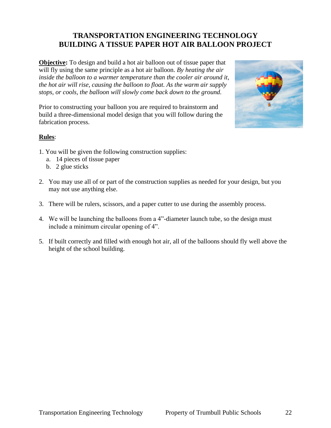## **TRANSPORTATION ENGINEERING TECHNOLOGY BUILDING A TISSUE PAPER HOT AIR BALLOON PROJECT**

**Objective:** To design and build a hot air balloon out of tissue paper that will fly using the same principle as a hot air balloon. *By heating the air inside the balloon to a warmer temperature than the cooler air around it, the hot air will rise, causing the balloon to float. As the warm air supply stops, or cools, the balloon will slowly come back down to the ground.*

Prior to constructing your balloon you are required to brainstorm and build a three-dimensional model design that you will follow during the fabrication process.



#### **Rules**:

- 1. You will be given the following construction supplies:
	- a. 14 pieces of tissue paper
	- b. 2 glue sticks
- 2. You may use all of or part of the construction supplies as needed for your design, but you may not use anything else.
- 3. There will be rulers, scissors, and a paper cutter to use during the assembly process.
- 4. We will be launching the balloons from a 4"-diameter launch tube, so the design must include a minimum circular opening of 4".
- 5. If built correctly and filled with enough hot air, all of the balloons should fly well above the height of the school building.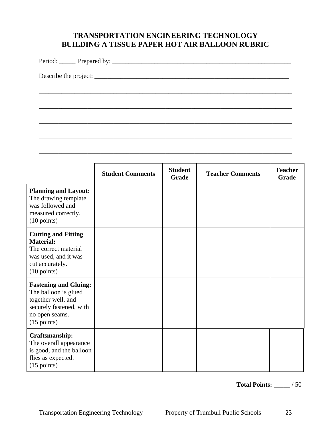## **TRANSPORTATION ENGINEERING TECHNOLOGY BUILDING A TISSUE PAPER HOT AIR BALLOON RUBRIC**

\_\_\_\_\_\_\_\_\_\_\_\_\_\_\_\_\_\_\_\_\_\_\_\_\_\_\_\_\_\_\_\_\_\_\_\_\_\_\_\_\_\_\_\_\_\_\_\_\_\_\_\_\_\_\_\_\_\_\_\_\_\_\_\_\_\_\_\_\_\_\_\_\_\_\_\_\_\_

\_\_\_\_\_\_\_\_\_\_\_\_\_\_\_\_\_\_\_\_\_\_\_\_\_\_\_\_\_\_\_\_\_\_\_\_\_\_\_\_\_\_\_\_\_\_\_\_\_\_\_\_\_\_\_\_\_\_\_\_\_\_\_\_\_\_\_\_\_\_\_\_\_\_\_\_\_\_

\_\_\_\_\_\_\_\_\_\_\_\_\_\_\_\_\_\_\_\_\_\_\_\_\_\_\_\_\_\_\_\_\_\_\_\_\_\_\_\_\_\_\_\_\_\_\_\_\_\_\_\_\_\_\_\_\_\_\_\_\_\_\_\_\_\_\_\_\_\_\_\_\_\_\_\_\_\_

\_\_\_\_\_\_\_\_\_\_\_\_\_\_\_\_\_\_\_\_\_\_\_\_\_\_\_\_\_\_\_\_\_\_\_\_\_\_\_\_\_\_\_\_\_\_\_\_\_\_\_\_\_\_\_\_\_\_\_\_\_\_\_\_\_\_\_\_\_\_\_\_\_\_\_\_\_\_

\_\_\_\_\_\_\_\_\_\_\_\_\_\_\_\_\_\_\_\_\_\_\_\_\_\_\_\_\_\_\_\_\_\_\_\_\_\_\_\_\_\_\_\_\_\_\_\_\_\_\_\_\_\_\_\_\_\_\_\_\_\_\_\_\_\_\_\_\_\_\_\_\_\_\_\_\_\_

Period: \_\_\_\_\_ Prepared by: \_\_\_\_\_\_\_\_\_\_\_\_\_\_\_\_\_\_\_\_\_\_\_\_\_\_\_\_\_\_\_\_\_\_\_\_\_\_\_\_\_\_\_\_\_\_\_\_\_\_\_\_\_\_\_

Describe the project: \_\_\_\_\_\_\_\_\_\_\_\_\_\_\_\_\_\_\_\_\_\_\_\_\_\_\_\_\_\_\_\_\_\_\_\_\_\_\_\_\_\_\_\_\_\_\_\_\_\_\_\_\_\_\_\_\_\_\_\_

|                                                                                                                                                  | <b>Student Comments</b> | <b>Student</b><br>Grade | <b>Teacher Comments</b> | <b>Teacher</b><br>Grade |
|--------------------------------------------------------------------------------------------------------------------------------------------------|-------------------------|-------------------------|-------------------------|-------------------------|
| <b>Planning and Layout:</b><br>The drawing template<br>was followed and<br>measured correctly.<br>$(10 \text{ points})$                          |                         |                         |                         |                         |
| <b>Cutting and Fitting</b><br><b>Material:</b><br>The correct material<br>was used, and it was<br>cut accurately.<br>$(10 \text{ points})$       |                         |                         |                         |                         |
| <b>Fastening and Gluing:</b><br>The balloon is glued<br>together well, and<br>securely fastened, with<br>no open seams.<br>$(15 \text{ points})$ |                         |                         |                         |                         |
| Craftsmanship:<br>The overall appearance<br>is good, and the balloon<br>flies as expected.<br>$(15 \text{ points})$                              |                         |                         |                         |                         |

**Total Points:** \_\_\_\_\_ / 50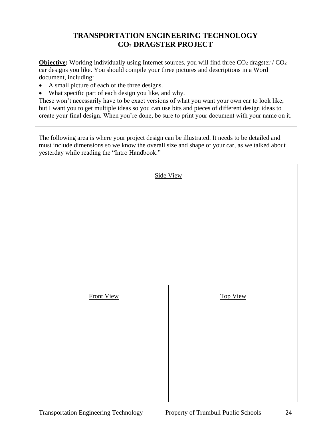## **TRANSPORTATION ENGINEERING TECHNOLOGY CO<sup>2</sup> DRAGSTER PROJECT**

**Objective:** Working individually using Internet sources, you will find three CO<sub>2</sub> dragster / CO<sub>2</sub> car designs you like. You should compile your three pictures and descriptions in a Word document, including:

- A small picture of each of the three designs.
- What specific part of each design you like, and why.

These won't necessarily have to be exact versions of what you want your own car to look like, but I want you to get multiple ideas so you can use bits and pieces of different design ideas to create your final design. When you're done, be sure to print your document with your name on it.

The following area is where your project design can be illustrated. It needs to be detailed and must include dimensions so we know the overall size and shape of your car, as we talked about yesterday while reading the "Intro Handbook."

| Side View  |          |  |  |
|------------|----------|--|--|
|            |          |  |  |
|            |          |  |  |
|            |          |  |  |
|            |          |  |  |
| Front View | Top View |  |  |
|            |          |  |  |
|            |          |  |  |
|            |          |  |  |
|            |          |  |  |